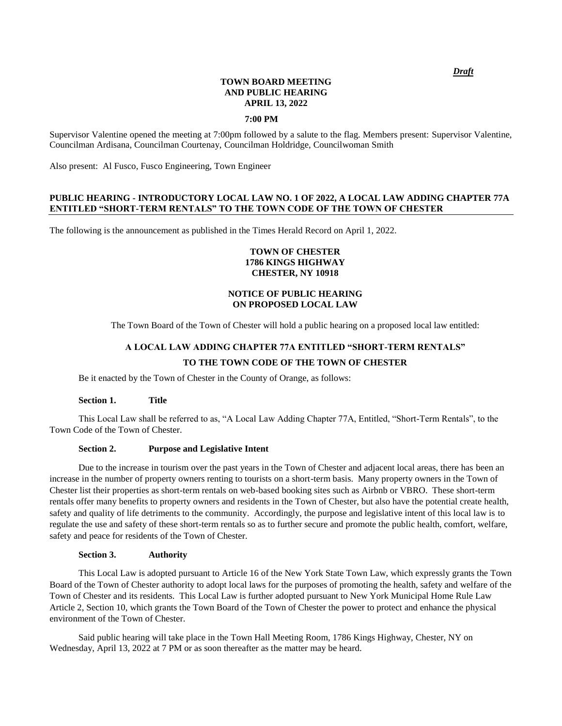#### **TOWN BOARD MEETING AND PUBLIC HEARING APRIL 13, 2022**

#### **7:00 PM**

Supervisor Valentine opened the meeting at 7:00pm followed by a salute to the flag. Members present: Supervisor Valentine, Councilman Ardisana, Councilman Courtenay, Councilman Holdridge, Councilwoman Smith

Also present: Al Fusco, Fusco Engineering, Town Engineer

## **PUBLIC HEARING - INTRODUCTORY LOCAL LAW NO. 1 OF 2022, A LOCAL LAW ADDING CHAPTER 77A ENTITLED "SHORT-TERM RENTALS" TO THE TOWN CODE OF THE TOWN OF CHESTER**

The following is the announcement as published in the Times Herald Record on April 1, 2022.

## **TOWN OF CHESTER 1786 KINGS HIGHWAY CHESTER, NY 10918**

## **NOTICE OF PUBLIC HEARING ON PROPOSED LOCAL LAW**

The Town Board of the Town of Chester will hold a public hearing on a proposed local law entitled:

# **A LOCAL LAW ADDING CHAPTER 77A ENTITLED "SHORT-TERM RENTALS" TO THE TOWN CODE OF THE TOWN OF CHESTER**

Be it enacted by the Town of Chester in the County of Orange, as follows:

#### **Section 1. Title**

This Local Law shall be referred to as, "A Local Law Adding Chapter 77A, Entitled, "Short-Term Rentals", to the Town Code of the Town of Chester.

#### **Section 2. Purpose and Legislative Intent**

Due to the increase in tourism over the past years in the Town of Chester and adjacent local areas, there has been an increase in the number of property owners renting to tourists on a short-term basis. Many property owners in the Town of Chester list their properties as short-term rentals on web-based booking sites such as Airbnb or VBRO. These short-term rentals offer many benefits to property owners and residents in the Town of Chester, but also have the potential create health, safety and quality of life detriments to the community. Accordingly, the purpose and legislative intent of this local law is to regulate the use and safety of these short-term rentals so as to further secure and promote the public health, comfort, welfare, safety and peace for residents of the Town of Chester.

#### **Section 3. Authority**

This Local Law is adopted pursuant to Article 16 of the New York State Town Law, which expressly grants the Town Board of the Town of Chester authority to adopt local laws for the purposes of promoting the health, safety and welfare of the Town of Chester and its residents. This Local Law is further adopted pursuant to New York Municipal Home Rule Law Article 2, Section 10, which grants the Town Board of the Town of Chester the power to protect and enhance the physical environment of the Town of Chester.

Said public hearing will take place in the Town Hall Meeting Room, 1786 Kings Highway, Chester, NY on Wednesday, April 13, 2022 at 7 PM or as soon thereafter as the matter may be heard.

*Draft*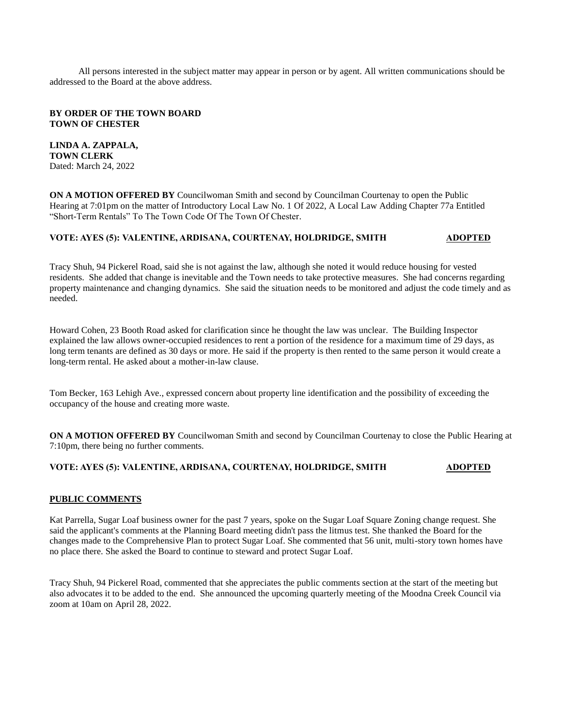All persons interested in the subject matter may appear in person or by agent. All written communications should be addressed to the Board at the above address.

#### **BY ORDER OF THE TOWN BOARD TOWN OF CHESTER**

**LINDA A. ZAPPALA, TOWN CLERK**  Dated: March 24, 2022

**ON A MOTION OFFERED BY** Councilwoman Smith and second by Councilman Courtenay to open the Public Hearing at 7:01pm on the matter of Introductory Local Law No. 1 Of 2022, A Local Law Adding Chapter 77a Entitled "Short-Term Rentals" To The Town Code Of The Town Of Chester.

## **VOTE: AYES (5): VALENTINE, ARDISANA, COURTENAY, HOLDRIDGE, SMITH ADOPTED**

Tracy Shuh, 94 Pickerel Road, said she is not against the law, although she noted it would reduce housing for vested residents. She added that change is inevitable and the Town needs to take protective measures. She had concerns regarding property maintenance and changing dynamics. She said the situation needs to be monitored and adjust the code timely and as needed.

Howard Cohen, 23 Booth Road asked for clarification since he thought the law was unclear. The Building Inspector explained the law allows owner-occupied residences to rent a portion of the residence for a maximum time of 29 days, as long term tenants are defined as 30 days or more. He said if the property is then rented to the same person it would create a long-term rental. He asked about a mother-in-law clause.

Tom Becker, 163 Lehigh Ave., expressed concern about property line identification and the possibility of exceeding the occupancy of the house and creating more waste.

**ON A MOTION OFFERED BY** Councilwoman Smith and second by Councilman Courtenay to close the Public Hearing at 7:10pm, there being no further comments.

#### **VOTE: AYES (5): VALENTINE, ARDISANA, COURTENAY, HOLDRIDGE, SMITH ADOPTED**

## **PUBLIC COMMENTS**

Kat Parrella, Sugar Loaf business owner for the past 7 years, spoke on the Sugar Loaf Square Zoning change request. She said the applicant's comments at the Planning Board meeting didn't pass the litmus test. She thanked the Board for the changes made to the Comprehensive Plan to protect Sugar Loaf. She commented that 56 unit, multi-story town homes have no place there. She asked the Board to continue to steward and protect Sugar Loaf.

Tracy Shuh, 94 Pickerel Road, commented that she appreciates the public comments section at the start of the meeting but also advocates it to be added to the end. She announced the upcoming quarterly meeting of the Moodna Creek Council via zoom at 10am on April 28, 2022.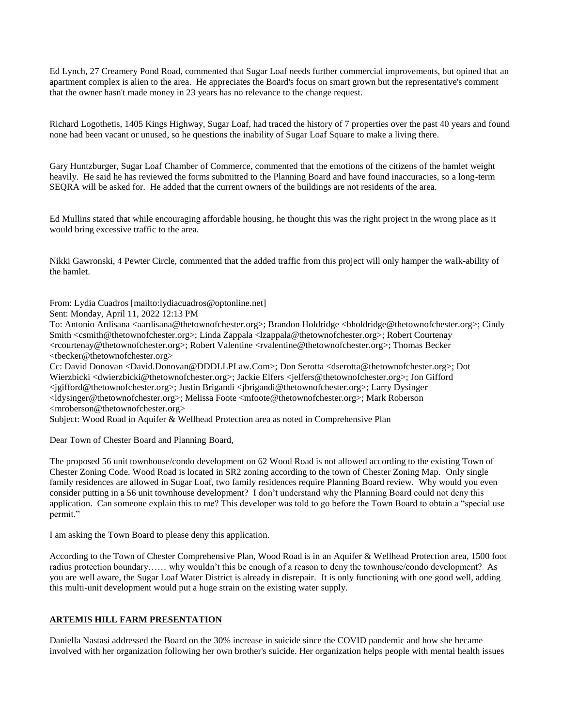Ed Lynch, 27 Creamery Pond Road, commented that Sugar Loaf needs further commercial improvements, but opined that an apartment complex is alien to the area. He appreciates the Board's focus on smart grown but the representative's comment that the owner hasn't made money in 23 years has no relevance to the change request.

Richard Logothetis, 1405 Kings Highway, Sugar Loaf, had traced the history of 7 properties over the past 40 years and found none had been vacant or unused, so he questions the inability of Sugar Loaf Square to make a living there.

Gary Huntzburger, Sugar Loaf Chamber of Commerce, commented that the emotions of the citizens of the hamlet weight heavily. He said he has reviewed the forms submitted to the Planning Board and have found inaccuracies, so a long-term SEQRA will be asked for. He added that the current owners of the buildings are not residents of the area.

Ed Mullins stated that while encouraging affordable housing, he thought this was the right project in the wrong place as it would bring excessive traffic to the area.

Nikki Gawronski, 4 Pewter Circle, commented that the added traffic from this project will only hamper the walk-ability of the hamlet.

From: Lydia Cuadros [mailto:lydiacuadros@optonline.net]

Sent: Monday, April 11, 2022 12:13 PM

To: Antonio Ardisana <aardisana@thetownofchester.org>; Brandon Holdridge <bholdridge@thetownofchester.org>; Cindy Smith <csmith@thetownofchester.org>; Linda Zappala <lzappala@thetownofchester.org>; Robert Courtenay <rcourtenay@thetownofchester.org>; Robert Valentine <rvalentine@thetownofchester.org>; Thomas Becker <tbecker@thetownofchester.org>

Cc: David Donovan <David.Donovan@DDDLLPLaw.Com>; Don Serotta <dserotta@thetownofchester.org>; Dot Wierzbicki <dwierzbicki@thetownofchester.org>; Jackie Elfers <jelfers@thetownofchester.org>; Jon Gifford <jgifford@thetownofchester.org>; Justin Brigandi <jbrigandi@thetownofchester.org>; Larry Dysinger <ldysinger@thetownofchester.org>; Melissa Foote <mfoote@thetownofchester.org>; Mark Roberson <mroberson@thetownofchester.org>

Subject: Wood Road in Aquifer & Wellhead Protection area as noted in Comprehensive Plan

Dear Town of Chester Board and Planning Board,

The proposed 56 unit townhouse/condo development on 62 Wood Road is not allowed according to the existing Town of Chester Zoning Code. Wood Road is located in SR2 zoning according to the town of Chester Zoning Map. Only single family residences are allowed in Sugar Loaf, two family residences require Planning Board review. Why would you even consider putting in a 56 unit townhouse development? I don't understand why the Planning Board could not deny this application. Can someone explain this to me? This developer was told to go before the Town Board to obtain a "special use permit."

I am asking the Town Board to please deny this application.

According to the Town of Chester Comprehensive Plan, Wood Road is in an Aquifer & Wellhead Protection area, 1500 foot radius protection boundary…… why wouldn't this be enough of a reason to deny the townhouse/condo development? As you are well aware, the Sugar Loaf Water District is already in disrepair. It is only functioning with one good well, adding this multi-unit development would put a huge strain on the existing water supply.

## **ARTEMIS HILL FARM PRESENTATION**

Daniella Nastasi addressed the Board on the 30% increase in suicide since the COVID pandemic and how she became involved with her organization following her own brother's suicide. Her organization helps people with mental health issues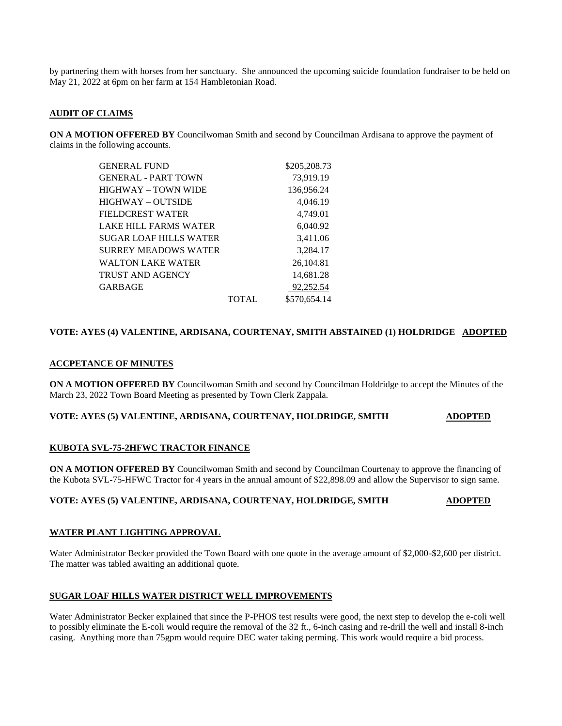by partnering them with horses from her sanctuary. She announced the upcoming suicide foundation fundraiser to be held on May 21, 2022 at 6pm on her farm at 154 Hambletonian Road.

## **AUDIT OF CLAIMS**

**ON A MOTION OFFERED BY** Councilwoman Smith and second by Councilman Ardisana to approve the payment of claims in the following accounts.

| <b>GENERAL FUND</b>        |              | \$205,208.73 |
|----------------------------|--------------|--------------|
| <b>GENERAL - PART TOWN</b> |              | 73,919.19    |
| HIGHWAY – TOWN WIDE        |              | 136,956.24   |
| HIGHWAY – OUTSIDE          |              | 4,046.19     |
| FIELDCREST WATER           |              | 4,749.01     |
| LAKE HILL FARMS WATER      |              | 6,040.92     |
| SUGAR LOAF HILLS WATER     |              | 3,411.06     |
| SURREY MEADOWS WATER       |              | 3,284.17     |
| WALTON LAKE WATER          |              | 26,104.81    |
| TRUST AND AGENCY           |              | 14,681.28    |
| GARBAGE                    |              | 92,252.54    |
|                            | <b>TOTAL</b> | \$570,654.14 |

## **VOTE: AYES (4) VALENTINE, ARDISANA, COURTENAY, SMITH ABSTAINED (1) HOLDRIDGE ADOPTED**

#### **ACCPETANCE OF MINUTES**

**ON A MOTION OFFERED BY** Councilwoman Smith and second by Councilman Holdridge to accept the Minutes of the March 23, 2022 Town Board Meeting as presented by Town Clerk Zappala.

#### **VOTE: AYES (5) VALENTINE, ARDISANA, COURTENAY, HOLDRIDGE, SMITH ADOPTED**

## **KUBOTA SVL-75-2HFWC TRACTOR FINANCE**

**ON A MOTION OFFERED BY** Councilwoman Smith and second by Councilman Courtenay to approve the financing of the Kubota SVL-75-HFWC Tractor for 4 years in the annual amount of \$22,898.09 and allow the Supervisor to sign same.

## **VOTE: AYES (5) VALENTINE, ARDISANA, COURTENAY, HOLDRIDGE, SMITH ADOPTED**

#### **WATER PLANT LIGHTING APPROVAL**

Water Administrator Becker provided the Town Board with one quote in the average amount of \$2,000-\$2,600 per district. The matter was tabled awaiting an additional quote.

#### **SUGAR LOAF HILLS WATER DISTRICT WELL IMPROVEMENTS**

Water Administrator Becker explained that since the P-PHOS test results were good, the next step to develop the e-coli well to possibly eliminate the E-coli would require the removal of the 32 ft., 6-inch casing and re-drill the well and install 8-inch casing. Anything more than 75gpm would require DEC water taking perming. This work would require a bid process.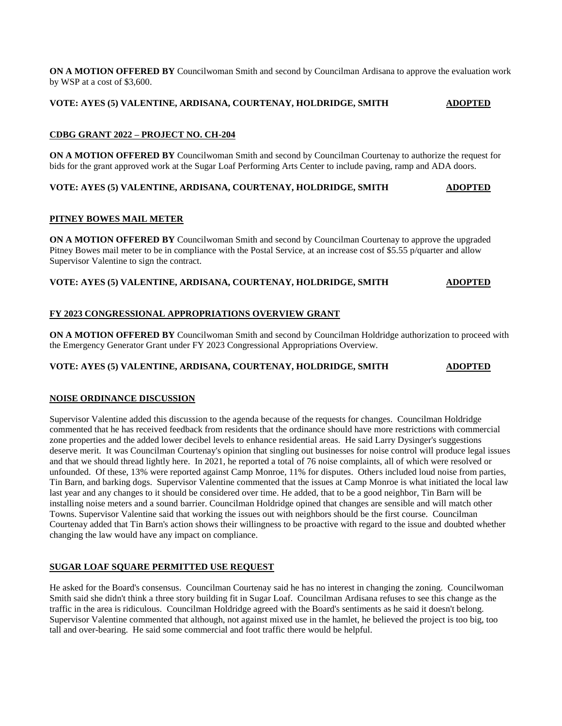**ON A MOTION OFFERED BY** Councilwoman Smith and second by Councilman Ardisana to approve the evaluation work by WSP at a cost of \$3,600.

**VOTE: AYES (5) VALENTINE, ARDISANA, COURTENAY, HOLDRIDGE, SMITH ADOPTED**

## **CDBG GRANT 2022 – PROJECT NO. CH-204**

**ON A MOTION OFFERED BY** Councilwoman Smith and second by Councilman Courtenay to authorize the request for bids for the grant approved work at the Sugar Loaf Performing Arts Center to include paving, ramp and ADA doors.

## **VOTE: AYES (5) VALENTINE, ARDISANA, COURTENAY, HOLDRIDGE, SMITH ADOPTED**

## **PITNEY BOWES MAIL METER**

**ON A MOTION OFFERED BY** Councilwoman Smith and second by Councilman Courtenay to approve the upgraded Pitney Bowes mail meter to be in compliance with the Postal Service, at an increase cost of \$5.55 p/quarter and allow Supervisor Valentine to sign the contract.

## **VOTE: AYES (5) VALENTINE, ARDISANA, COURTENAY, HOLDRIDGE, SMITH ADOPTED**

## **FY 2023 CONGRESSIONAL APPROPRIATIONS OVERVIEW GRANT**

**ON A MOTION OFFERED BY** Councilwoman Smith and second by Councilman Holdridge authorization to proceed with the Emergency Generator Grant under FY 2023 Congressional Appropriations Overview.

#### **VOTE: AYES (5) VALENTINE, ARDISANA, COURTENAY, HOLDRIDGE, SMITH ADOPTED**

## **NOISE ORDINANCE DISCUSSION**

Supervisor Valentine added this discussion to the agenda because of the requests for changes. Councilman Holdridge commented that he has received feedback from residents that the ordinance should have more restrictions with commercial zone properties and the added lower decibel levels to enhance residential areas. He said Larry Dysinger's suggestions deserve merit. It was Councilman Courtenay's opinion that singling out businesses for noise control will produce legal issues and that we should thread lightly here. In 2021, he reported a total of 76 noise complaints, all of which were resolved or unfounded. Of these, 13% were reported against Camp Monroe, 11% for disputes. Others included loud noise from parties, Tin Barn, and barking dogs. Supervisor Valentine commented that the issues at Camp Monroe is what initiated the local law last year and any changes to it should be considered over time. He added, that to be a good neighbor, Tin Barn will be installing noise meters and a sound barrier. Councilman Holdridge opined that changes are sensible and will match other Towns. Supervisor Valentine said that working the issues out with neighbors should be the first course. Councilman Courtenay added that Tin Barn's action shows their willingness to be proactive with regard to the issue and doubted whether changing the law would have any impact on compliance.

## **SUGAR LOAF SQUARE PERMITTED USE REQUEST**

He asked for the Board's consensus. Councilman Courtenay said he has no interest in changing the zoning. Councilwoman Smith said she didn't think a three story building fit in Sugar Loaf. Councilman Ardisana refuses to see this change as the traffic in the area is ridiculous. Councilman Holdridge agreed with the Board's sentiments as he said it doesn't belong. Supervisor Valentine commented that although, not against mixed use in the hamlet, he believed the project is too big, too tall and over-bearing. He said some commercial and foot traffic there would be helpful.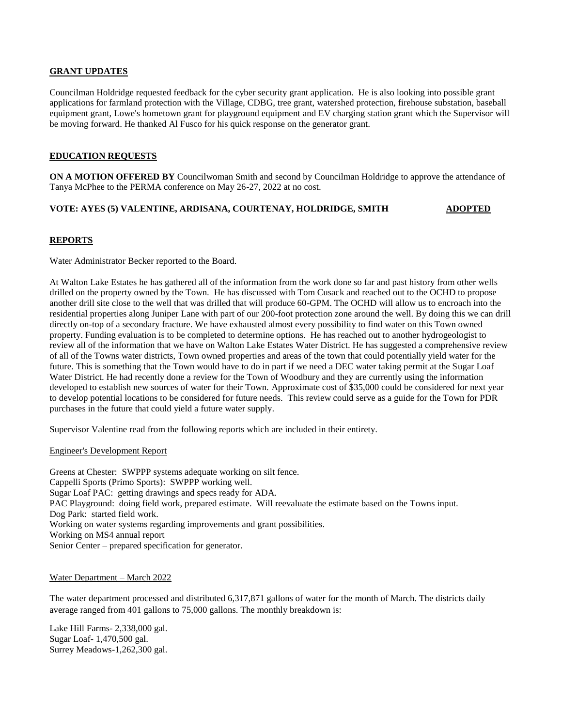## **GRANT UPDATES**

Councilman Holdridge requested feedback for the cyber security grant application. He is also looking into possible grant applications for farmland protection with the Village, CDBG, tree grant, watershed protection, firehouse substation, baseball equipment grant, Lowe's hometown grant for playground equipment and EV charging station grant which the Supervisor will be moving forward. He thanked Al Fusco for his quick response on the generator grant.

## **EDUCATION REQUESTS**

**ON A MOTION OFFERED BY** Councilwoman Smith and second by Councilman Holdridge to approve the attendance of Tanya McPhee to the PERMA conference on May 26-27, 2022 at no cost.

## **VOTE: AYES (5) VALENTINE, ARDISANA, COURTENAY, HOLDRIDGE, SMITH ADOPTED**

## **REPORTS**

Water Administrator Becker reported to the Board.

At Walton Lake Estates he has gathered all of the information from the work done so far and past history from other wells drilled on the property owned by the Town. He has discussed with Tom Cusack and reached out to the OCHD to propose another drill site close to the well that was drilled that will produce 60-GPM. The OCHD will allow us to encroach into the residential properties along Juniper Lane with part of our 200-foot protection zone around the well. By doing this we can drill directly on-top of a secondary fracture. We have exhausted almost every possibility to find water on this Town owned property. Funding evaluation is to be completed to determine options. He has reached out to another hydrogeologist to review all of the information that we have on Walton Lake Estates Water District. He has suggested a comprehensive review of all of the Towns water districts, Town owned properties and areas of the town that could potentially yield water for the future. This is something that the Town would have to do in part if we need a DEC water taking permit at the Sugar Loaf Water District. He had recently done a review for the Town of Woodbury and they are currently using the information developed to establish new sources of water for their Town. Approximate cost of \$35,000 could be considered for next year to develop potential locations to be considered for future needs. This review could serve as a guide for the Town for PDR purchases in the future that could yield a future water supply.

Supervisor Valentine read from the following reports which are included in their entirety.

#### Engineer's Development Report

Greens at Chester: SWPPP systems adequate working on silt fence. Cappelli Sports (Primo Sports): SWPPP working well. Sugar Loaf PAC: getting drawings and specs ready for ADA. PAC Playground: doing field work, prepared estimate. Will reevaluate the estimate based on the Towns input. Dog Park: started field work. Working on water systems regarding improvements and grant possibilities. Working on MS4 annual report Senior Center – prepared specification for generator.

#### Water Department – March 2022

The water department processed and distributed 6,317,871 gallons of water for the month of March. The districts daily average ranged from 401 gallons to 75,000 gallons. The monthly breakdown is:

Lake Hill Farms- 2,338,000 gal. Sugar Loaf- 1,470,500 gal. Surrey Meadows-1,262,300 gal.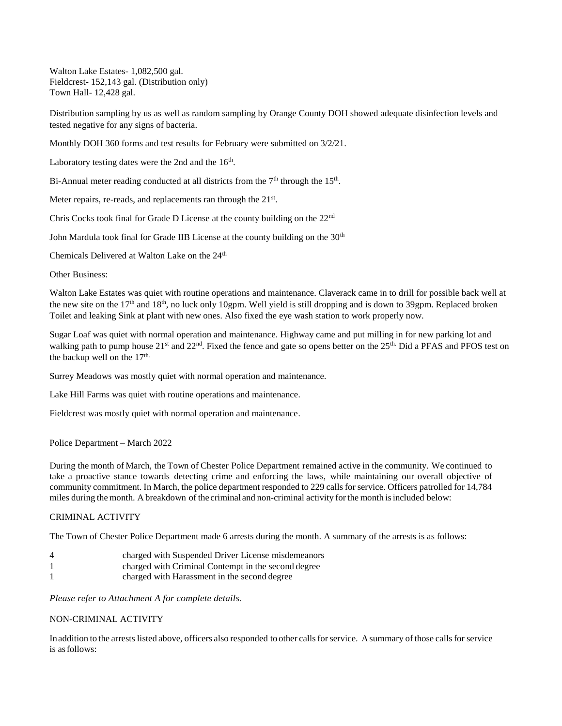Walton Lake Estates- 1,082,500 gal. Fieldcrest- 152,143 gal. (Distribution only) Town Hall- 12,428 gal.

Distribution sampling by us as well as random sampling by Orange County DOH showed adequate disinfection levels and tested negative for any signs of bacteria.

Monthly DOH 360 forms and test results for February were submitted on 3/2/21.

Laboratory testing dates were the 2nd and the  $16<sup>th</sup>$ .

Bi-Annual meter reading conducted at all districts from the  $7<sup>th</sup>$  through the  $15<sup>th</sup>$ .

Meter repairs, re-reads, and replacements ran through the  $21^{st}$ .

Chris Cocks took final for Grade D License at the county building on the 22nd

John Mardula took final for Grade IIB License at the county building on the 30<sup>th</sup>

Chemicals Delivered at Walton Lake on the 24<sup>th</sup>

Other Business:

Walton Lake Estates was quiet with routine operations and maintenance. Claverack came in to drill for possible back well at the new site on the  $17<sup>th</sup>$  and  $18<sup>th</sup>$ , no luck only 10gpm. Well yield is still dropping and is down to 39gpm. Replaced broken Toilet and leaking Sink at plant with new ones. Also fixed the eye wash station to work properly now.

Sugar Loaf was quiet with normal operation and maintenance. Highway came and put milling in for new parking lot and walking path to pump house  $21<sup>st</sup>$  and  $22<sup>nd</sup>$ . Fixed the fence and gate so opens better on the  $25<sup>th</sup>$  Did a PFAS and PFOS test on the backup well on the  $17<sup>th</sup>$ .

Surrey Meadows was mostly quiet with normal operation and maintenance.

Lake Hill Farms was quiet with routine operations and maintenance.

Fieldcrest was mostly quiet with normal operation and maintenance.

#### Police Department – March 2022

During the month of March, the Town of Chester Police Department remained active in the community. We continued to take a proactive stance towards detecting crime and enforcing the laws, while maintaining our overall objective of community commitment. In March, the police department responded to 229 calls for service. Officers patrolled for 14,784 miles during the month. A breakdown of the criminal and non-criminal activity forthe month isincluded below:

## CRIMINAL ACTIVITY

The Town of Chester Police Department made 6 arrests during the month. A summary of the arrests is as follows:

- 4 charged with Suspended Driver License misdemeanors
- 1 charged with Criminal Contempt in the second degree
- 1 charged with Harassment in the second degree

*Please refer to Attachment A for complete details.*

#### NON-CRIMINAL ACTIVITY

In addition to the arrests listed above, officers also responded to other calls for service. A summary of those calls for service is asfollows: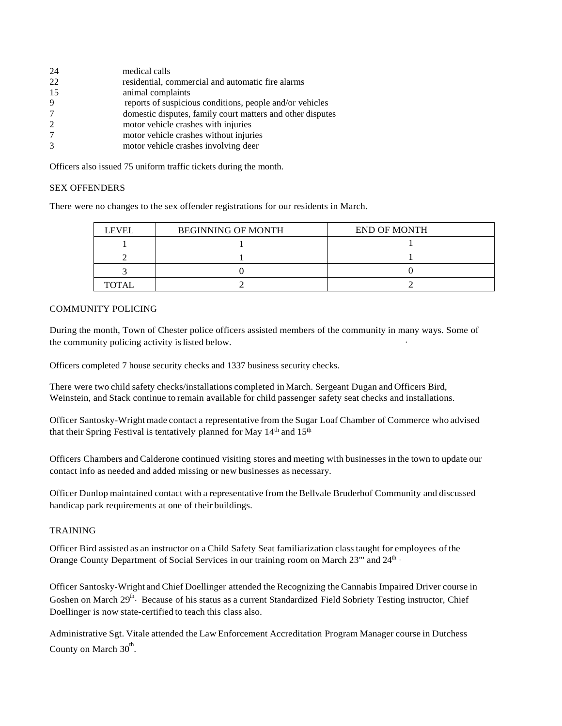| 24            | medical calls                                              |
|---------------|------------------------------------------------------------|
| 22            | residential, commercial and automatic fire alarms          |
| 15            | animal complaints                                          |
| 9             | reports of suspicious conditions, people and/or vehicles   |
| 7             | domestic disputes, family court matters and other disputes |
| 2             | motor vehicle crashes with injuries                        |
| 7             | motor vehicle crashes without injuries                     |
| $\mathcal{F}$ | motor vehicle crashes involving deer                       |
|               |                                                            |

Officers also issued 75 uniform traffic tickets during the month.

## SEX OFFENDERS

There were no changes to the sex offender registrations for our residents in March.

| <b>LEVEL</b> | <b>BEGINNING OF MONTH</b> | <b>END OF MONTH</b> |
|--------------|---------------------------|---------------------|
|              |                           |                     |
|              |                           |                     |
|              |                           |                     |
| <b>TOTAL</b> |                           |                     |

## COMMUNITY POLICING

During the month, Town of Chester police officers assisted members of the community in many ways. Some of the community policing activity is listed below.

Officers completed 7 house security checks and 1337 business security checks.

There were two child safety checks/installations completed in March. Sergeant Dugan and Officers Bird, Weinstein, and Stack continue to remain available for child passenger safety seat checks and installations.

that their Spring Festival is tentatively planned for May 14<sup>th</sup> and 15<sup>th</sup> Officer Santosky-Wright made contact a representative from the Sugar Loaf Chamber of Commerce who advised

Officers Chambers and Calderone continued visiting stores and meeting with businesses in the town to update our contact info as needed and added missing or new businesses as necessary.

Officer Dunlop maintained contact with a representative from the Bellvale Bruderhof Community and discussed handicap park requirements at one of their buildings.

#### TRAINING

Orange County Department of Social Services in our training room on March 23"' and 24<sup>th</sup> Officer Bird assisted as an instructor on a Child Safety Seat familiarization class taught for employees of the

Officer Santosky-Wright and Chief Doellinger attended the Recognizing the Cannabis Impaired Driver course in Goshen on March 29<sup>th</sup>. Because of his status as a current Standardized Field Sobriety Testing instructor, Chief Doellinger is now state-certified to teach this class also.

Administrative Sgt. Vitale attended the Law Enforcement Accreditation Program Manager course in Dutchess County on March  $30^{\text{th}}$ .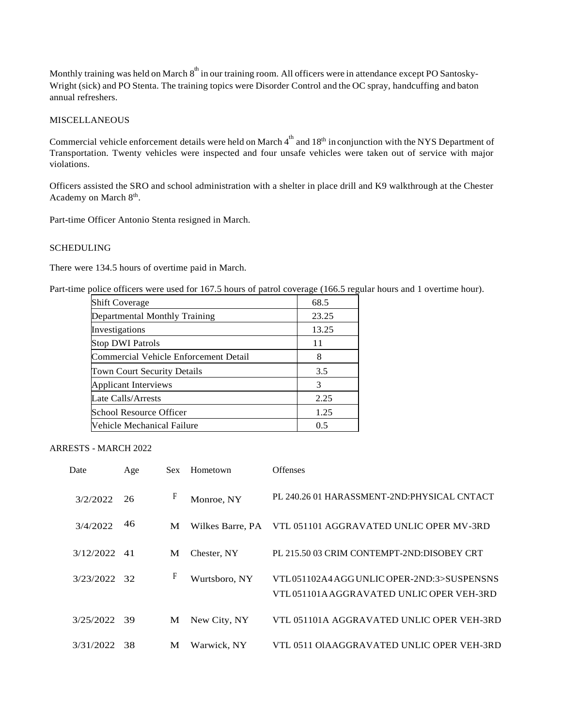Monthly training was held on March  $8^{\text{th}}$  in our training room. All officers were in attendance except PO Santosky-Wright (sick) and PO Stenta. The training topics were Disorder Control and the OC spray, handcuffing and baton annual refreshers.

#### MISCELLANEOUS

Commercial vehicle enforcement details were held on March  $4^{\text{th}}$  and  $18^{\text{th}}$  in conjunction with the NYS Department of Transportation. Twenty vehicles were inspected and four unsafe vehicles were taken out of service with major violations.

Officers assisted the SRO and school administration with a shelter in place drill and K9 walkthrough at the Chester Academy on March 8<sup>th</sup>.

Part-time Officer Antonio Stenta resigned in March.

## SCHEDULING

There were 134.5 hours of overtime paid in March.

Part-time police officers were used for 167.5 hours of patrol coverage (166.5 regular hours and 1 overtime hour).

| <b>Shift Coverage</b>                        | 68.5  |
|----------------------------------------------|-------|
| Departmental Monthly Training                | 23.25 |
| Investigations                               | 13.25 |
| <b>Stop DWI Patrols</b>                      | 11    |
| <b>Commercial Vehicle Enforcement Detail</b> | 8     |
| Town Court Security Details                  | 3.5   |
| Applicant Interviews                         | 3     |
| Late Calls/Arrests                           | 2.25  |
| School Resource Officer                      | 1.25  |
| Vehicle Mechanical Failure                   | 0.5   |

## ARRESTS - MARCH 2022

| Date         | Age | Sex. | Hometown         | <b>Offenses</b>                                                                        |
|--------------|-----|------|------------------|----------------------------------------------------------------------------------------|
| 3/2/2022     | 26  | F    | Monroe, NY       | PL 240.26 01 HARASSMENT-2ND:PHYSICAL CNTACT                                            |
| 3/4/2022     | 46  | М    | Wilkes Barre, PA | VTL 051101 AGGRAVATED UNLIC OPER MV-3RD                                                |
| 3/12/2022    | -41 | M    | Chester, NY      | PL 215.50 03 CRIM CONTEMPT-2ND:DISOBEY CRT                                             |
| 3/23/2022 32 |     | F    | Wurtsboro, NY    | VTL051102A4 AGGUNLIC OPER-2ND:3>SUSPENSNS<br>VTL 051101A AGGRAVATED UNLIC OPER VEH-3RD |
| 3/25/2022    | -39 | М    | New City, NY     | VTL 051101A AGGRAVATED UNLIC OPER VEH-3RD                                              |
| 3/31/2022    | 38  | М    | Warwick, NY      | VTL 0511 OIAAGGRAVATED UNLIC OPER VEH-3RD                                              |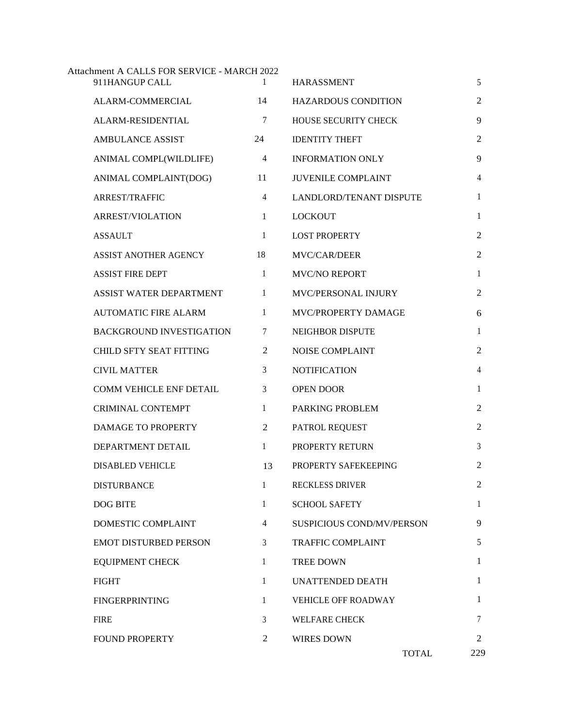| Attachment A CALLS FOR SERVICE - MARCH 2022<br>911HANGUP CALL | 1              | <b>HARASSMENT</b>          | 5              |
|---------------------------------------------------------------|----------------|----------------------------|----------------|
| ALARM-COMMERCIAL                                              | 14             | <b>HAZARDOUS CONDITION</b> | $\overline{2}$ |
| ALARM-RESIDENTIAL                                             | 7              | HOUSE SECURITY CHECK       | 9              |
| <b>AMBULANCE ASSIST</b>                                       | 24             | <b>IDENTITY THEFT</b>      | $\overline{2}$ |
| ANIMAL COMPL(WILDLIFE)                                        | $\overline{4}$ | <b>INFORMATION ONLY</b>    | 9              |
| ANIMAL COMPLAINT(DOG)                                         | 11             | <b>JUVENILE COMPLAINT</b>  | 4              |
| <b>ARREST/TRAFFIC</b>                                         | $\overline{4}$ | LANDLORD/TENANT DISPUTE    | $\mathbf{1}$   |
| <b>ARREST/VIOLATION</b>                                       | $\mathbf{1}$   | <b>LOCKOUT</b>             | $\mathbf{1}$   |
| <b>ASSAULT</b>                                                | 1              | <b>LOST PROPERTY</b>       | $\overline{2}$ |
| ASSIST ANOTHER AGENCY                                         | 18             | MVC/CAR/DEER               | $\overline{2}$ |
| <b>ASSIST FIRE DEPT</b>                                       | $\mathbf{1}$   | <b>MVC/NO REPORT</b>       | $\mathbf{1}$   |
| ASSIST WATER DEPARTMENT                                       | $\mathbf{1}$   | MVC/PERSONAL INJURY        | $\overline{2}$ |
| <b>AUTOMATIC FIRE ALARM</b>                                   | 1              | MVC/PROPERTY DAMAGE        | 6              |
| <b>BACKGROUND INVESTIGATION</b>                               | 7              | <b>NEIGHBOR DISPUTE</b>    | $\mathbf{1}$   |
| <b>CHILD SFTY SEAT FITTING</b>                                | 2              | <b>NOISE COMPLAINT</b>     | 2              |
| <b>CIVIL MATTER</b>                                           | 3              | <b>NOTIFICATION</b>        | $\overline{4}$ |
| <b>COMM VEHICLE ENF DETAIL</b>                                | 3              | <b>OPEN DOOR</b>           | $\mathbf{1}$   |
| <b>CRIMINAL CONTEMPT</b>                                      | $\mathbf{1}$   | PARKING PROBLEM            | $\overline{2}$ |
| DAMAGE TO PROPERTY                                            | 2              | PATROL REQUEST             | $\overline{2}$ |
| DEPARTMENT DETAIL                                             | $\mathbf{1}$   | PROPERTY RETURN            | 3              |
| <b>DISABLED VEHICLE</b>                                       | 13             | PROPERTY SAFEKEEPING       | $\overline{2}$ |
| <b>DISTURBANCE</b>                                            | $\mathbf{1}$   | <b>RECKLESS DRIVER</b>     | $\overline{2}$ |
| DOG BITE                                                      | 1              | <b>SCHOOL SAFETY</b>       | $\mathbf{1}$   |
| DOMESTIC COMPLAINT                                            | 4              | SUSPICIOUS COND/MV/PERSON  | 9              |
| <b>EMOT DISTURBED PERSON</b>                                  | 3              | <b>TRAFFIC COMPLAINT</b>   | 5              |
| <b>EQUIPMENT CHECK</b>                                        | 1              | <b>TREE DOWN</b>           | 1              |
| <b>FIGHT</b>                                                  | $\mathbf{1}$   | <b>UNATTENDED DEATH</b>    | $\mathbf{1}$   |
| <b>FINGERPRINTING</b>                                         | $\mathbf{1}$   | VEHICLE OFF ROADWAY        | 1              |
| <b>FIRE</b>                                                   | 3              | <b>WELFARE CHECK</b>       | $\tau$         |
| <b>FOUND PROPERTY</b>                                         | 2              | <b>WIRES DOWN</b>          | 2              |
|                                                               |                | <b>TOTAL</b>               | 229            |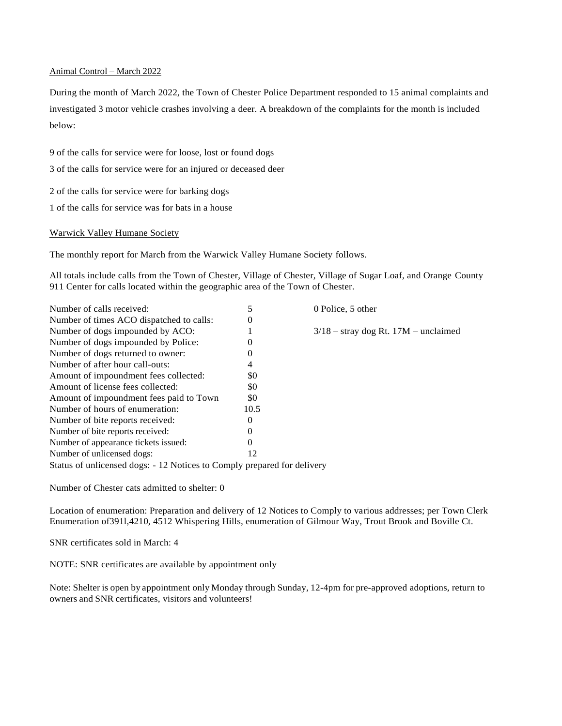#### Animal Control – March 2022

During the month of March 2022, the Town of Chester Police Department responded to 15 animal complaints and investigated 3 motor vehicle crashes involving a deer. A breakdown of the complaints for the month is included below:

9 of the calls for service were for loose, lost or found dogs

3 of the calls for service were for an injured or deceased deer

2 of the calls for service were for barking dogs

1 of the calls for service was for bats in a house

## Warwick Valley Humane Society

The monthly report for March from the Warwick Valley Humane Society follows.

All totals include calls from the Town of Chester, Village of Chester, Village of Sugar Loaf, and Orange County 911 Center for calls located within the geographic area of the Town of Chester.

| Number of calls received:                                               | 5    | 0 Police, 5 other                      |
|-------------------------------------------------------------------------|------|----------------------------------------|
| Number of times ACO dispatched to calls:                                | 0    |                                        |
| Number of dogs impounded by ACO:                                        |      | $3/18$ – stray dog Rt. 17M – unclaimed |
| Number of dogs impounded by Police:                                     | 0    |                                        |
| Number of dogs returned to owner:                                       | 0    |                                        |
| Number of after hour call-outs:                                         | 4    |                                        |
| Amount of impoundment fees collected:                                   | \$0  |                                        |
| Amount of license fees collected:                                       | \$0  |                                        |
| Amount of impoundment fees paid to Town                                 | \$0  |                                        |
| Number of hours of enumeration:                                         | 10.5 |                                        |
| Number of bite reports received:                                        | 0    |                                        |
| Number of bite reports received:                                        | 0    |                                        |
| Number of appearance tickets issued:                                    |      |                                        |
| Number of unlicensed dogs:                                              | 12   |                                        |
| Status of unlicensed dogs: - 12 Notices to Comply prepared for delivery |      |                                        |

Number of Chester cats admitted to shelter: 0

Location of enumeration: Preparation and delivery of 12 Notices to Comply to various addresses; per Town Clerk Enumeration of391l,4210, 4512 Whispering Hills, enumeration of Gilmour Way, Trout Brook and Boville Ct.

SNR certificates sold in March: 4

NOTE: SNR certificates are available by appointment only

Note: Shelter is open by appointment only Monday through Sunday, 12-4pm for pre-approved adoptions, return to owners and SNR certificates, visitors and volunteers!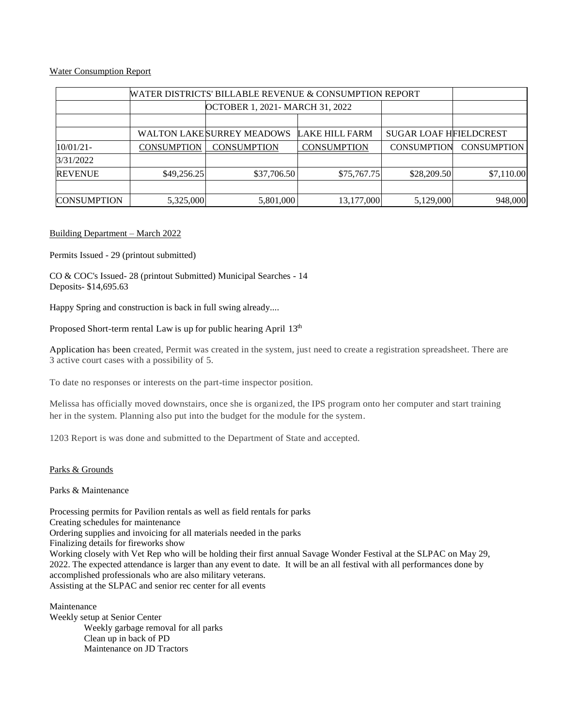## Water Consumption Report

| WATER DISTRICTS' BILLABLE REVENUE & CONSUMPTION REPORT |                    |                                  |                    |                               |                    |
|--------------------------------------------------------|--------------------|----------------------------------|--------------------|-------------------------------|--------------------|
|                                                        |                    | OCTOBER 1, 2021 - MARCH 31, 2022 |                    |                               |                    |
|                                                        |                    |                                  |                    |                               |                    |
|                                                        |                    | WALTON LAKESURREY MEADOWS        | LAKE HILL FARM     | <b>SUGAR LOAF HFIELDCREST</b> |                    |
| 10/01/21-                                              | <b>CONSUMPTION</b> | <b>CONSUMPTION</b>               | <b>CONSUMPTION</b> | <b>CONSUMPTION</b>            | <b>CONSUMPTION</b> |
| 3/31/2022                                              |                    |                                  |                    |                               |                    |
| <b>REVENUE</b>                                         | \$49,256.25        | \$37,706.50                      | \$75,767.75        | \$28,209.50                   | \$7,110.00         |
|                                                        |                    |                                  |                    |                               |                    |
| <b>CONSUMPTION</b>                                     | 5,325,000          | 5,801,000                        | 13,177,000         | 5,129,000                     | 948,000            |

## Building Department – March 2022

Permits Issued - 29 (printout submitted)

CO & COC's Issued- 28 (printout Submitted) Municipal Searches - 14 Deposits- \$14,695.63

Happy Spring and construction is back in full swing already....

Proposed Short-term rental Law is up for public hearing April  $13<sup>th</sup>$ 

Application has been created, Permit was created in the system, just need to create a registration spreadsheet. There are 3 active court cases with a possibility of 5.

To date no responses or interests on the part-time inspector position.

Melissa has officially moved downstairs, once she is organized, the IPS program onto her computer and start training her in the system. Planning also put into the budget for the module for the system.

1203 Report is was done and submitted to the Department of State and accepted.

## Parks & Grounds

Parks & Maintenance

Processing permits for Pavilion rentals as well as field rentals for parks Creating schedules for maintenance Ordering supplies and invoicing for all materials needed in the parks Finalizing details for fireworks show Working closely with Vet Rep who will be holding their first annual Savage Wonder Festival at the SLPAC on May 29, 2022. The expected attendance is larger than any event to date. It will be an all festival with all performances done by accomplished professionals who are also military veterans. Assisting at the SLPAC and senior rec center for all events

Maintenance Weekly setup at Senior Center Weekly garbage removal for all parks Clean up in back of PD Maintenance on JD Tractors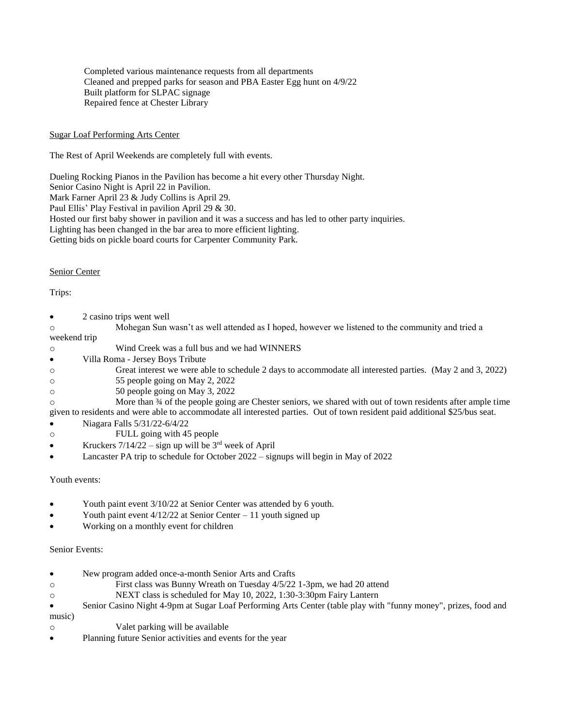Completed various maintenance requests from all departments Cleaned and prepped parks for season and PBA Easter Egg hunt on 4/9/22 Built platform for SLPAC signage Repaired fence at Chester Library

## Sugar Loaf Performing Arts Center

The Rest of April Weekends are completely full with events.

Dueling Rocking Pianos in the Pavilion has become a hit every other Thursday Night.

Senior Casino Night is April 22 in Pavilion.

Mark Farner April 23 & Judy Collins is April 29.

Paul Ellis' Play Festival in pavilion April 29 & 30.

Hosted our first baby shower in pavilion and it was a success and has led to other party inquiries.

Lighting has been changed in the bar area to more efficient lighting.

Getting bids on pickle board courts for Carpenter Community Park.

## Senior Center

Trips:

- 2 casino trips went well
- o Mohegan Sun wasn't as well attended as I hoped, however we listened to the community and tried a

weekend trip

- o Wind Creek was a full bus and we had WINNERS
- Villa Roma Jersey Boys Tribute
- o Great interest we were able to schedule 2 days to accommodate all interested parties. (May 2 and 3, 2022)
- o 55 people going on May 2, 2022
- o 50 people going on May 3, 2022

o More than ¾ of the people going are Chester seniors, we shared with out of town residents after ample time given to residents and were able to accommodate all interested parties. Out of town resident paid additional \$25/bus seat.

 $\bullet$  Niagara Falls 5/31/22-6/4/22

- o FULL going with 45 people
- Kruckers  $7/14/22 -$  sign up will be  $3<sup>rd</sup>$  week of April
- Lancaster PA trip to schedule for October 2022 signups will begin in May of 2022

## Youth events:

- Youth paint event 3/10/22 at Senior Center was attended by 6 youth.
- Youth paint event  $4/12/22$  at Senior Center 11 youth signed up
- Working on a monthly event for children

## Senior Events:

- New program added once-a-month Senior Arts and Crafts
- o First class was Bunny Wreath on Tuesday 4/5/22 1-3pm, we had 20 attend
- o NEXT class is scheduled for May 10, 2022, 1:30-3:30pm Fairy Lantern
- Senior Casino Night 4-9pm at Sugar Loaf Performing Arts Center (table play with "funny money", prizes, food and music)
- o Valet parking will be available
- Planning future Senior activities and events for the year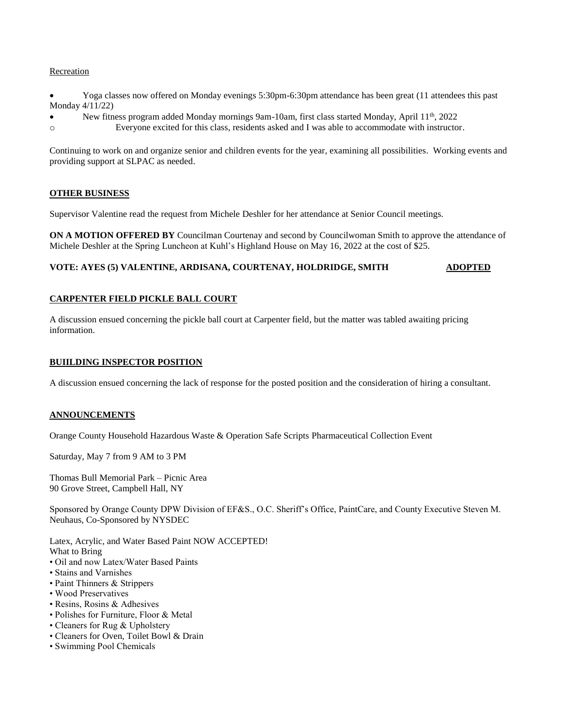## **Recreation**

 Yoga classes now offered on Monday evenings 5:30pm-6:30pm attendance has been great (11 attendees this past Monday 4/11/22)

New fitness program added Monday mornings 9am-10am, first class started Monday, April 11th, 2022

o Everyone excited for this class, residents asked and I was able to accommodate with instructor.

Continuing to work on and organize senior and children events for the year, examining all possibilities. Working events and providing support at SLPAC as needed.

## **OTHER BUSINESS**

Supervisor Valentine read the request from Michele Deshler for her attendance at Senior Council meetings.

**ON A MOTION OFFERED BY** Councilman Courtenay and second by Councilwoman Smith to approve the attendance of Michele Deshler at the Spring Luncheon at Kuhl's Highland House on May 16, 2022 at the cost of \$25.

## **VOTE: AYES (5) VALENTINE, ARDISANA, COURTENAY, HOLDRIDGE, SMITH ADOPTED**

## **CARPENTER FIELD PICKLE BALL COURT**

A discussion ensued concerning the pickle ball court at Carpenter field, but the matter was tabled awaiting pricing information.

#### **BUIILDING INSPECTOR POSITION**

A discussion ensued concerning the lack of response for the posted position and the consideration of hiring a consultant.

## **ANNOUNCEMENTS**

Orange County Household Hazardous Waste & Operation Safe Scripts Pharmaceutical Collection Event

Saturday, May 7 from 9 AM to 3 PM

Thomas Bull Memorial Park – Picnic Area 90 Grove Street, Campbell Hall, NY

Sponsored by Orange County DPW Division of EF&S., O.C. Sheriff's Office, PaintCare, and County Executive Steven M. Neuhaus, Co-Sponsored by NYSDEC

Latex, Acrylic, and Water Based Paint NOW ACCEPTED! What to Bring

- Oil and now Latex/Water Based Paints
- Stains and Varnishes
- Paint Thinners & Strippers
- Wood Preservatives
- Resins, Rosins & Adhesives
- Polishes for Furniture, Floor & Metal
- Cleaners for Rug & Upholstery
- Cleaners for Oven, Toilet Bowl & Drain
- Swimming Pool Chemicals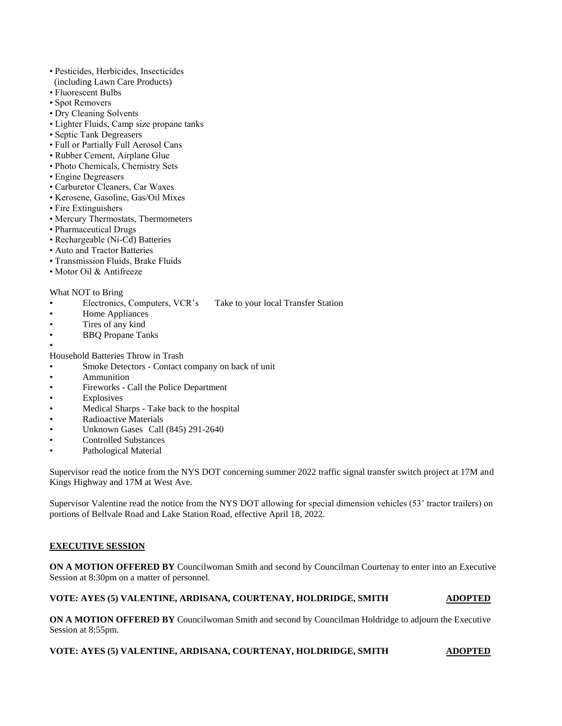- Pesticides, Herbicides, Insecticides (including Lawn Care Products)
- Fluorescent Bulbs
- Spot Removers
- Dry Cleaning Solvents
- Lighter Fluids, Camp size propane tanks
- Septic Tank Degreasers
- Full or Partially Full Aerosol Cans
- Rubber Cement, Airplane Glue
- Photo Chemicals, Chemistry Sets
- Engine Degreasers
- Carburetor Cleaners, Car Waxes
- Kerosene, Gasoline, Gas/Oil Mixes
- Fire Extinguishers
- Mercury Thermostats, Thermometers
- Pharmaceutical Drugs
- Rechargeable (Ni-Cd) Batteries
- Auto and Tractor Batteries
- Transmission Fluids, Brake Fluids
- Motor Oil & Antifreeze

## What NOT to Bring

- Electronics, Computers, VCR's Take to your local Transfer Station
- Home Appliances
- Tires of any kind
- **BBO** Propane Tanks

• Household Batteries Throw in Trash

- Smoke Detectors Contact company on back of unit
- Ammunition
- Fireworks Call the Police Department
- **Explosives**
- Medical Sharps Take back to the hospital
- Radioactive Materials
- Unknown Gases Call (845) 291-2640
- Controlled Substances
- Pathological Material

Supervisor read the notice from the NYS DOT concerning summer 2022 traffic signal transfer switch project at 17M and Kings Highway and 17M at West Ave.

Supervisor Valentine read the notice from the NYS DOT allowing for special dimension vehicles (53' tractor trailers) on portions of Bellvale Road and Lake Station Road, effective April 18, 2022.

## **EXECUTIVE SESSION**

**ON A MOTION OFFERED BY** Councilwoman Smith and second by Councilman Courtenay to enter into an Executive Session at 8:30pm on a matter of personnel.

## **VOTE: AYES (5) VALENTINE, ARDISANA, COURTENAY, HOLDRIDGE, SMITH ADOPTED**

**ON A MOTION OFFERED BY** Councilwoman Smith and second by Councilman Holdridge to adjourn the Executive Session at 8:55pm.

## **VOTE: AYES (5) VALENTINE, ARDISANA, COURTENAY, HOLDRIDGE, SMITH ADOPTED**